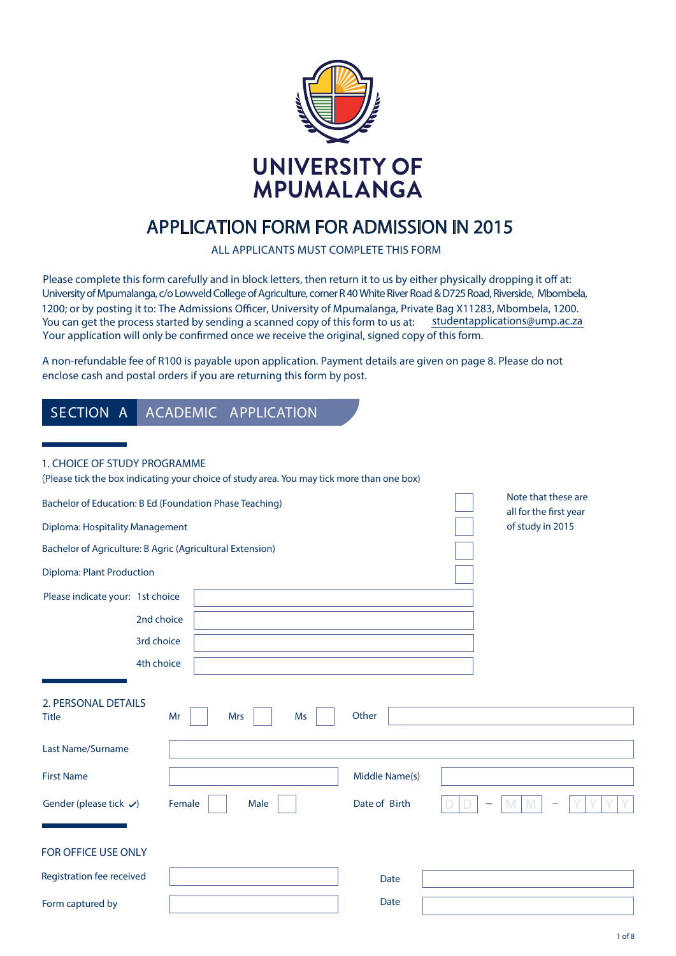

# **APPLICATION FORM FOR ADMISSION IN 2015**

ALL APPLICANTS MUST COMPLETE THIS FORM

University of Mpumalanga, c/o Lowveld College of Agriculture, corner R 40White River Road & D725 Road, Riverside, Mbombela, You can get the process started by sending a scanned copy of this form to us at: **studentapplications@ump.ac.za** Your application will only be confirmed once we receive the original, signed copy of this form. Please complete this form carefully and in block letters, then return it to us by either physically dropping it off at: 1200; or by posting it to: The Admissions Officer, University of Mpumalanga, Private Bag X11283, Mbombela, 1200.

A non-refundable fee of R100 is payable upon application. Payment details are given on page 8. Please do not enclose cash and postal orders if you are returning this form by post.

## **SE CTION A** ACADEMIC APPLICATION

#### **1. CHOICE OF STUDY PROGRAMME**

Please tick the box indicating your choice of study area. You may tick more than one box)

|                                     |            | Bachelor of Education: B Ed (Foundation Phase Teaching)   |                | Note that these are<br>all for the first year |
|-------------------------------------|------------|-----------------------------------------------------------|----------------|-----------------------------------------------|
| Diploma: Hospitality Management     |            |                                                           |                | of study in 2015                              |
|                                     |            | Bachelor of Agriculture: B Agric (Agricultural Extension) |                |                                               |
| <b>Diploma: Plant Production</b>    |            |                                                           |                |                                               |
| Please indicate your: 1st choice    |            |                                                           |                |                                               |
|                                     | 2nd choice |                                                           |                |                                               |
|                                     | 3rd choice |                                                           |                |                                               |
|                                     | 4th choice |                                                           |                |                                               |
| 2. PERSONAL DETAILS<br><b>Title</b> |            | Mr<br><b>Mrs</b><br>Ms                                    | Other          |                                               |
|                                     |            |                                                           |                |                                               |
| Last Name/Surname                   |            |                                                           |                |                                               |
| <b>First Name</b>                   |            |                                                           | Middle Name(s) |                                               |
| Gender (please tick $\checkmark$ )  |            | Female<br>Male                                            | Date of Birth  |                                               |
|                                     |            |                                                           |                |                                               |
| FOR OFFICE USE ONLY                 |            |                                                           |                |                                               |
| Registration fee received           |            |                                                           | <b>Date</b>    |                                               |
| Form captured by                    |            |                                                           | Date           |                                               |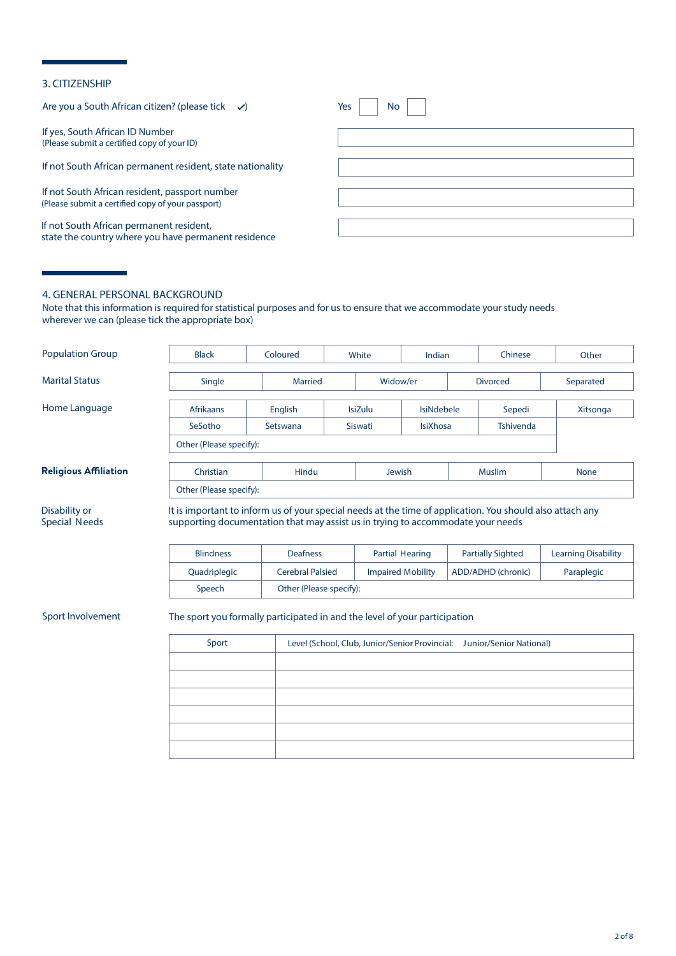#### **3. CITIZENSHIP**

| Are you a South African citizen? (please tick $\checkmark$ )                                        | <b>No</b><br>Yes |
|-----------------------------------------------------------------------------------------------------|------------------|
| If yes, South African ID Number<br>(Please submit a certified copy of your ID)                      |                  |
| If not South African permanent resident, state nationality                                          |                  |
| If not South African resident, passport number<br>(Please submit a certified copy of your passport) |                  |
| If not South African permanent resident,<br>state the country where you have permanent residence    |                  |

#### **4. GENERAL PERSONAL BACKGROUND**

Note that this information is required for statistical purposes and for us to ensure that we accommodate your study needs wherever we can (please tick the appropriate box)

| <b>Population Group</b>               | <b>Black</b>                                                                                                                                                                                                                     | Coloured                                   | White                                                                  | Indian                                             | Chinese                                        | Other                                    |
|---------------------------------------|----------------------------------------------------------------------------------------------------------------------------------------------------------------------------------------------------------------------------------|--------------------------------------------|------------------------------------------------------------------------|----------------------------------------------------|------------------------------------------------|------------------------------------------|
| <b>Marital Status</b>                 | Single                                                                                                                                                                                                                           | <b>Married</b>                             | Widow/er                                                               |                                                    | <b>Divorced</b>                                | Separated                                |
| Home Language                         | <b>Afrikaans</b>                                                                                                                                                                                                                 | English                                    | <b>IsiZulu</b>                                                         | <b>IsiNdebele</b>                                  | Sepedi                                         | Xitsonga                                 |
|                                       | SeSotho                                                                                                                                                                                                                          | Setswana                                   | <b>Siswati</b>                                                         | <b>IsiXhosa</b>                                    | Tshivenda                                      |                                          |
|                                       | Other (Please specify):                                                                                                                                                                                                          |                                            |                                                                        |                                                    |                                                |                                          |
| <b>Religious Affiliation</b>          | Christian                                                                                                                                                                                                                        | Hindu                                      |                                                                        | Jewish                                             | <b>Muslim</b>                                  | <b>None</b>                              |
|                                       | Other (Please specify):                                                                                                                                                                                                          |                                            |                                                                        |                                                    |                                                |                                          |
| Disability or<br><b>Special Needs</b> | It is important to inform us of your special needs at the time of application. You should also attach any<br>supporting documentation that may assist us in trying to accommodate your needs<br><b>Blindness</b><br>Quadriplegic | <b>Deafness</b><br><b>Cerebral Palsied</b> |                                                                        | <b>Partial Hearing</b><br><b>Impaired Mobility</b> | <b>Partially Sighted</b><br>ADD/ADHD (chronic) | <b>Learning Disability</b><br>Paraplegic |
|                                       | Speech                                                                                                                                                                                                                           | Other (Please specify):                    |                                                                        |                                                    |                                                |                                          |
| Sport Involvement                     | The sport you formally participated in and the level of your participation<br>Sport                                                                                                                                              |                                            | Level (School, Club, Junior/Senior Provincial: Junior/Senior National) |                                                    |                                                |                                          |
|                                       |                                                                                                                                                                                                                                  |                                            |                                                                        |                                                    |                                                |                                          |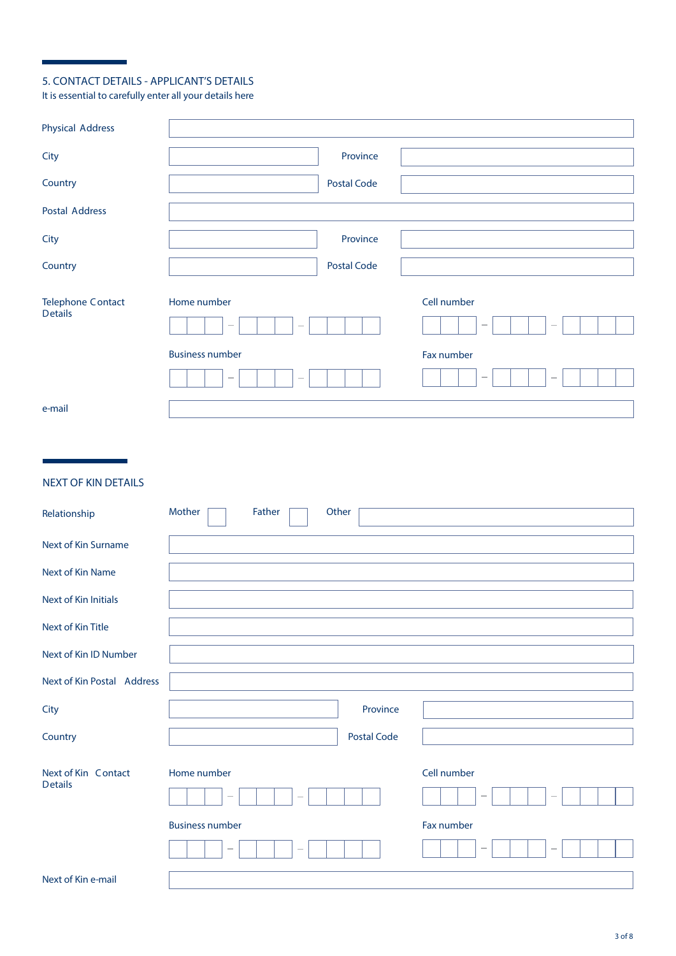## **5. CONTACT DETAILS - APPLICANT'S DETAILS**

÷

It is essential to carefully enter all your details here

| <b>Physical Address</b>                    |                                   |                    |                                         |
|--------------------------------------------|-----------------------------------|--------------------|-----------------------------------------|
| City                                       |                                   | Province           |                                         |
| Country                                    |                                   | <b>Postal Code</b> |                                         |
| <b>Postal Address</b>                      |                                   |                    |                                         |
| City                                       |                                   | Province           |                                         |
| Country                                    |                                   | <b>Postal Code</b> |                                         |
| <b>Telephone Contact</b><br><b>Details</b> | Home number<br>$\equiv$<br>$\sim$ |                    | Cell number<br>$\sim$<br><b>COLLEGE</b> |
|                                            | <b>Business number</b>            |                    | Fax number                              |
|                                            | $\sim$                            |                    | $\sim$                                  |
| e-mail                                     |                                   |                    |                                         |

### **NEXT OF KIN DETAILS**

| Relationship                          | Mother<br>Father       | Other              |             |
|---------------------------------------|------------------------|--------------------|-------------|
| Next of Kin Surname                   |                        |                    |             |
| Next of Kin Name                      |                        |                    |             |
| Next of Kin Initials                  |                        |                    |             |
| Next of Kin Title                     |                        |                    |             |
| Next of Kin ID Number                 |                        |                    |             |
| Next of Kin Postal Address            |                        |                    |             |
| City                                  |                        | Province           |             |
| Country                               |                        | <b>Postal Code</b> |             |
| Next of Kin Contact<br><b>Details</b> | Home number            |                    | Cell number |
|                                       | $\sim$                 |                    |             |
|                                       | <b>Business number</b> |                    | Fax number  |
|                                       |                        |                    | <b>COL</b>  |
| Next of Kin e-mail                    |                        |                    |             |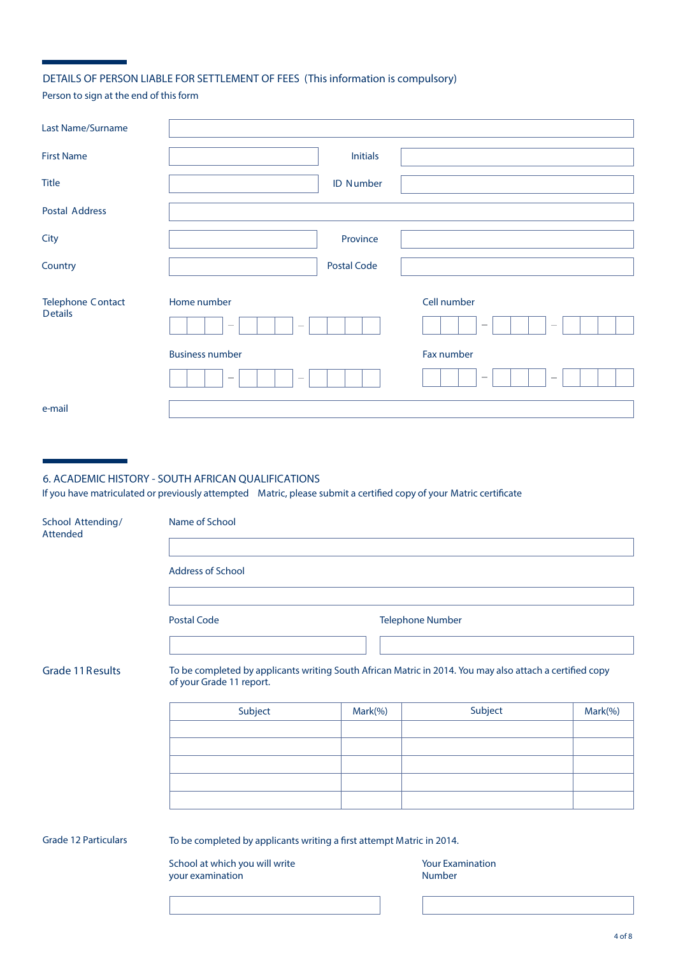#### DETAILS OF PERSON LIABLE FOR SETTLEMENT OF FEES (This information is compulsory)

Person to sign at the end of this form

| Last Name/Surname                          |                        |                    |                          |
|--------------------------------------------|------------------------|--------------------|--------------------------|
| <b>First Name</b>                          |                        | <b>Initials</b>    |                          |
| <b>Title</b>                               |                        | <b>ID Number</b>   |                          |
| <b>Postal Address</b>                      |                        |                    |                          |
| City                                       |                        | Province           |                          |
| Country                                    |                        | <b>Postal Code</b> |                          |
| <b>Telephone Contact</b><br><b>Details</b> | Home number            |                    | Cell number              |
|                                            | $\sim$                 |                    | $\sim$<br><b>COL</b>     |
|                                            | <b>Business number</b> |                    | Fax number               |
|                                            | $\sim$<br>$\sim$       |                    | $\sim$<br><b>COLLEGE</b> |
| e-mail                                     |                        |                    |                          |

#### 6. ACADEMIC HISTORY - SOUTH AFRICAN QUALIFICATIONS

If you have matriculated or previously attempted Matric, please submit a certified copy of your Matric certificate

| School Attending/<br><b>Attended</b> | Name of School                                                                                           |         |                                   |         |
|--------------------------------------|----------------------------------------------------------------------------------------------------------|---------|-----------------------------------|---------|
|                                      | <b>Address of School</b>                                                                                 |         |                                   |         |
|                                      | <b>Postal Code</b>                                                                                       |         | <b>Telephone Number</b>           |         |
| <b>Grade 11 Results</b>              | To be completed by applicants writing South African Matric in 2014. You may also attach a certified copy |         |                                   |         |
|                                      | of your Grade 11 report.                                                                                 |         |                                   |         |
|                                      | Subject                                                                                                  | Mark(%) | Subject                           | Mark(%) |
|                                      |                                                                                                          |         |                                   |         |
|                                      |                                                                                                          |         |                                   |         |
|                                      |                                                                                                          |         |                                   |         |
|                                      |                                                                                                          |         |                                   |         |
| <b>Grade 12 Particulars</b>          | To be completed by applicants writing a first attempt Matric in 2014.                                    |         |                                   |         |
|                                      | School at which you will write<br>your examination                                                       |         | <b>Your Examination</b><br>Number |         |
|                                      |                                                                                                          |         |                                   |         |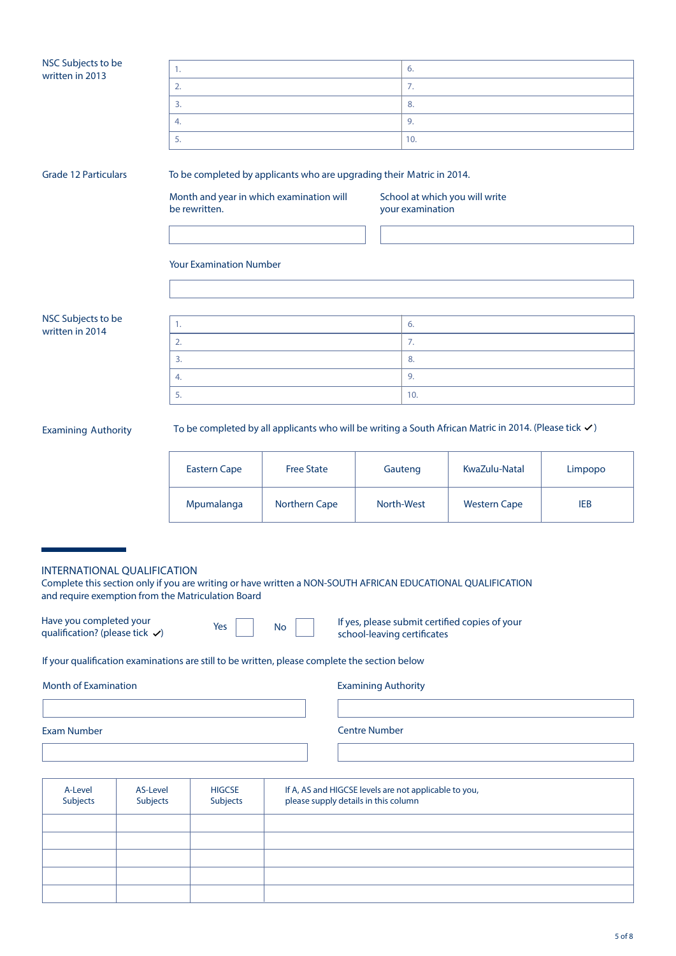| NSC Subjects to be<br>written in 2013                                                         |                             | 1.                                                                    |           |                                      |                            | 6.                                                    |                                                                                                                   |            |
|-----------------------------------------------------------------------------------------------|-----------------------------|-----------------------------------------------------------------------|-----------|--------------------------------------|----------------------------|-------------------------------------------------------|-------------------------------------------------------------------------------------------------------------------|------------|
|                                                                                               |                             | 2.                                                                    |           |                                      |                            | 7.                                                    |                                                                                                                   |            |
|                                                                                               |                             | 3.                                                                    |           |                                      |                            | 8.                                                    |                                                                                                                   |            |
|                                                                                               |                             | 4.                                                                    |           |                                      |                            | 9.                                                    |                                                                                                                   |            |
|                                                                                               |                             | 5.                                                                    |           |                                      |                            | 10.                                                   |                                                                                                                   |            |
| <b>Grade 12 Particulars</b>                                                                   |                             | To be completed by applicants who are upgrading their Matric in 2014. |           |                                      |                            |                                                       |                                                                                                                   |            |
|                                                                                               |                             | Month and year in which examination will<br>be rewritten.             |           |                                      |                            | your examination                                      | School at which you will write                                                                                    |            |
|                                                                                               |                             |                                                                       |           |                                      |                            |                                                       |                                                                                                                   |            |
|                                                                                               |                             | <b>Your Examination Number</b>                                        |           |                                      |                            |                                                       |                                                                                                                   |            |
|                                                                                               |                             |                                                                       |           |                                      |                            |                                                       |                                                                                                                   |            |
| NSC Subjects to be                                                                            |                             | 1.                                                                    |           |                                      |                            | 6.                                                    |                                                                                                                   |            |
| written in 2014                                                                               |                             | 2.                                                                    |           |                                      |                            | 7.                                                    |                                                                                                                   |            |
|                                                                                               |                             | 3.                                                                    |           |                                      |                            | 8.                                                    |                                                                                                                   |            |
|                                                                                               |                             | 4.                                                                    |           |                                      |                            | 9.                                                    |                                                                                                                   |            |
|                                                                                               |                             | 5.                                                                    |           |                                      |                            | 10.                                                   |                                                                                                                   |            |
| <b>Examining Authority</b>                                                                    |                             |                                                                       |           |                                      |                            |                                                       | To be completed by all applicants who will be writing a South African Matric in 2014. (Please tick $\checkmark$ ) |            |
|                                                                                               |                             | <b>Eastern Cape</b>                                                   |           | <b>Free State</b>                    |                            | Gauteng                                               | KwaZulu-Natal                                                                                                     | Limpopo    |
|                                                                                               |                             | Mpumalanga                                                            |           | Northern Cape                        |                            | North-West                                            | <b>Western Cape</b>                                                                                               | <b>IEB</b> |
|                                                                                               |                             |                                                                       |           |                                      |                            |                                                       |                                                                                                                   |            |
| INTERNATIONAL QUALIFICATION<br>and require exemption from the Matriculation Board             |                             |                                                                       |           |                                      |                            |                                                       | Complete this section only if you are writing or have written a NON-SOUTH AFRICAN EDUCATIONAL QUALIFICATION       |            |
| Have you completed your<br>qualification? (please tick √)                                     |                             | Yes                                                                   | <b>No</b> |                                      |                            | school-leaving certificates                           | If yes, please submit certified copies of your                                                                    |            |
| If your qualification examinations are still to be written, please complete the section below |                             |                                                                       |           |                                      |                            |                                                       |                                                                                                                   |            |
| <b>Month of Examination</b>                                                                   |                             |                                                                       |           |                                      | <b>Examining Authority</b> |                                                       |                                                                                                                   |            |
| <b>Exam Number</b>                                                                            |                             |                                                                       |           |                                      | <b>Centre Number</b>       |                                                       |                                                                                                                   |            |
|                                                                                               |                             |                                                                       |           |                                      |                            |                                                       |                                                                                                                   |            |
| A-Level<br>Subjects                                                                           | <b>AS-Level</b><br>Subjects | <b>HIGCSE</b><br>Subjects                                             |           | please supply details in this column |                            | If A, AS and HIGCSE levels are not applicable to you, |                                                                                                                   |            |
|                                                                                               |                             |                                                                       |           |                                      |                            |                                                       |                                                                                                                   |            |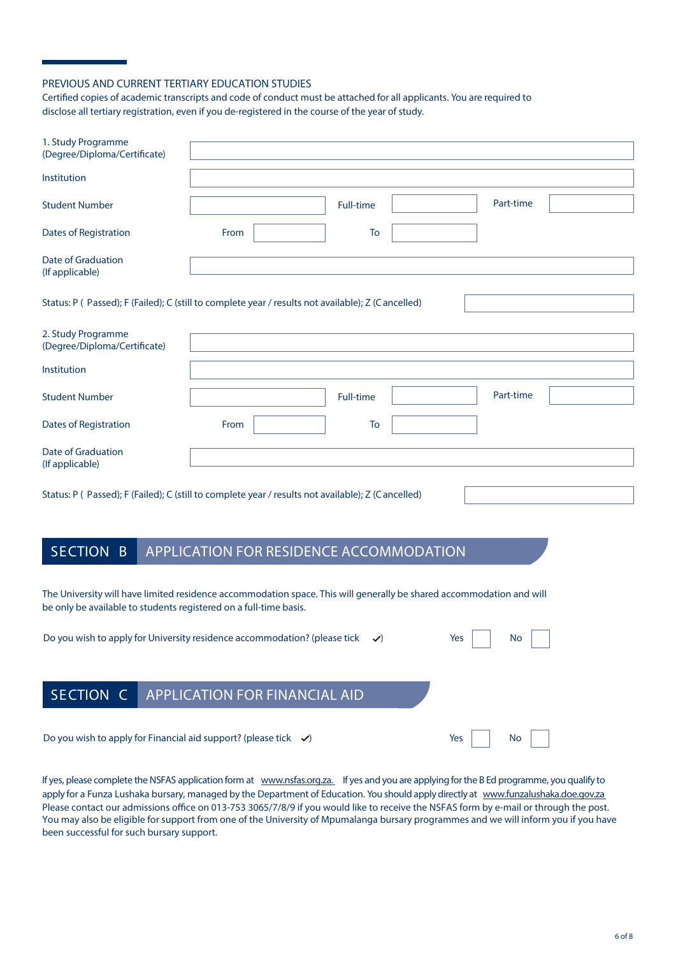#### **PREVIOUS AND CURRENT TERTIARY EDUCATION STUDIES**

be only be available to students registered on a full-time basis.

Certified copies of academic transcripts and code of conduct must be attached for all applicants. You are required to disclose all tertiary registration, even if you de-registered in the course of the year of study.

| 1. Study Programme<br>(Degree/Diploma/Certificate)                                                 |      |                  |                                         |           |  |
|----------------------------------------------------------------------------------------------------|------|------------------|-----------------------------------------|-----------|--|
| Institution                                                                                        |      |                  |                                         |           |  |
| <b>Student Number</b>                                                                              |      | <b>Full-time</b> |                                         | Part-time |  |
| <b>Dates of Registration</b>                                                                       | From | To               |                                         |           |  |
| <b>Date of Graduation</b><br>(If applicable)                                                       |      |                  |                                         |           |  |
| Status: P ( Passed); F (Failed); C (still to complete year / results not available); Z (Cancelled) |      |                  |                                         |           |  |
| 2. Study Programme<br>(Degree/Diploma/Certificate)                                                 |      |                  |                                         |           |  |
| Institution                                                                                        |      |                  |                                         |           |  |
| <b>Student Number</b>                                                                              |      | <b>Full-time</b> |                                         | Part-time |  |
| <b>Dates of Registration</b>                                                                       | From | To               |                                         |           |  |
| <b>Date of Graduation</b><br>(If applicable)                                                       |      |                  |                                         |           |  |
| Status: P ( Passed); F (Failed); C (still to complete year / results not available); Z (Cancelled) |      |                  |                                         |           |  |
|                                                                                                    |      |                  |                                         |           |  |
| <b>SECTION</b><br>B                                                                                |      |                  | APPLICATION FOR RESIDENCE ACCOMMODATION |           |  |

The University will have limited residence accommodation space. This will generally be shared accommodation and will

| Do you wish to apply for University residence accommodation? (please tick $\checkmark$ ) | Yes | No l |
|------------------------------------------------------------------------------------------|-----|------|
| SECTION C APPLICATION FOR FINANCIAL AID                                                  |     |      |
| Do you wish to apply for Financial aid support? (please tick $\checkmark$ )              | Yes | No   |

If yes, please complete the NSFAS application form at www.nsfas.org.za. If yes and you are applying for the B Ed programme, you qualify to apply for a Funza Lushaka bursary, managed by the Department of Education. You should apply directly at www.funzalushaka.doe.gov.za Please contact our admissions office on 013-753 3065/7/8/9 if you would like to receive the NSFAS form by e-mail or through the post. You may also be eligible for support from one of the University of Mpumalanga bursary programmes and we will inform you if you have been successful for such bursary support.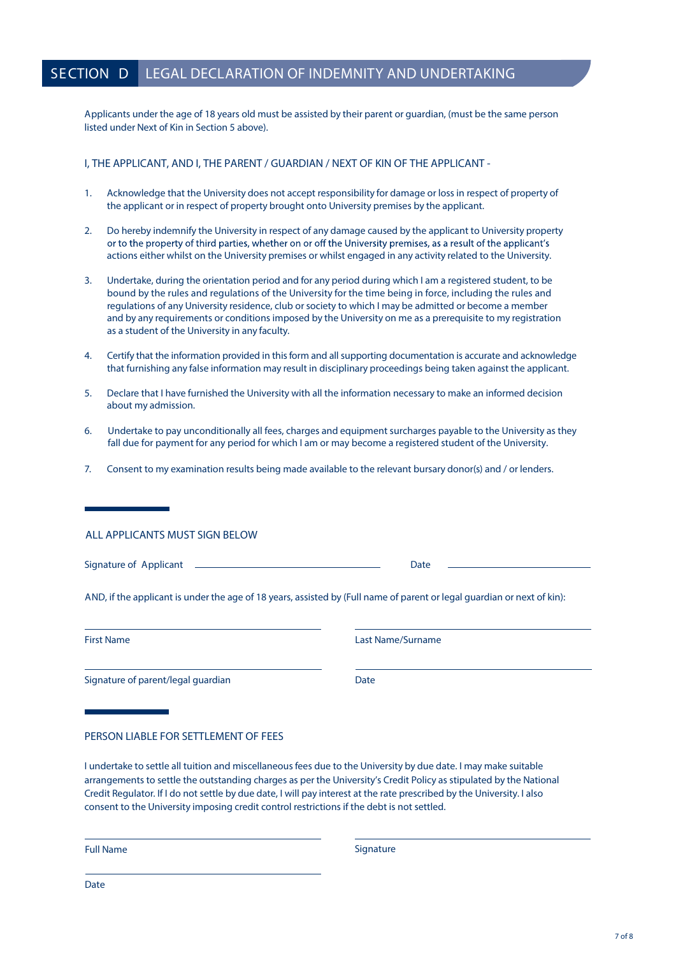## **SE CTION D** LEGAL DECLARATION OF INDEMNITY AND UNDERTAKING

Applicants under the age of 18 years old must be assisted by their parent or guardian, (must be the same person listed under Next of Kin in Section 5 above).

**I, THE APPLICANT, AND I, THE PARENT / GUARDIAN / NEXT OF KIN OF THE APPLICANT -**

- 1. Acknowledge that the University does not accept responsibility for damage or loss in respect of property of the applicant or in respect of property brought onto University premises by the applicant.
- 2. Do hereby indemnify the University in respect of any damage caused by the applicant to University property or to the property of third parties, whether on or off the University premises, as a result of the applicant's actions either whilst on the University premises or whilst engaged in any activity related to the University.
- 3. Undertake, during the orientation period and for any period during which I am a registered student, to be bound by the rules and regulations of the University for the time being in force, including the rules and regulations of any University residence, club or society to which I may be admitted or become a member and by any requirements or conditions imposed by the University on me as a prerequisite to my registration as a student of the University in any faculty.
- 4. Certify that the information provided in this form and all supporting documentation is accurate and acknowledge that furnishing any false information may result in disciplinary proceedings being taken against the applicant.
- 5. Declare that I have furnished the University with all the information necessary to make an informed decision about my admission.
- 6. Undertake to pay unconditionally all fees, charges and equipment surcharges payable to the University as they fall due for payment for any period for which I am or may become a registered student of the University.
- 7. Consent to my examination results being made available to the relevant bursary donor(s) and / or lenders.

| AND, if the applicant is under the age of 18 years, assisted by (Full name of parent or legal quardian or next of kin): |                   |
|-------------------------------------------------------------------------------------------------------------------------|-------------------|
| <b>First Name</b>                                                                                                       | Last Name/Surname |

#### **PERSON LIABLE FOR SETTLEMENT OF FEES**

Signature of parent/legal guardian Date

I undertake to settle all tuition and miscellaneous fees due to the University by due date. I may make suitable arrangements to settle the outstanding charges as per the University's Credit Policy as stipulated by the National Credit Regulator. If I do not settle by due date, I will pay interest at the rate prescribed by the University. I also consent to the University imposing credit control restrictions if the debt is not settled.

Full Name Signature

Date